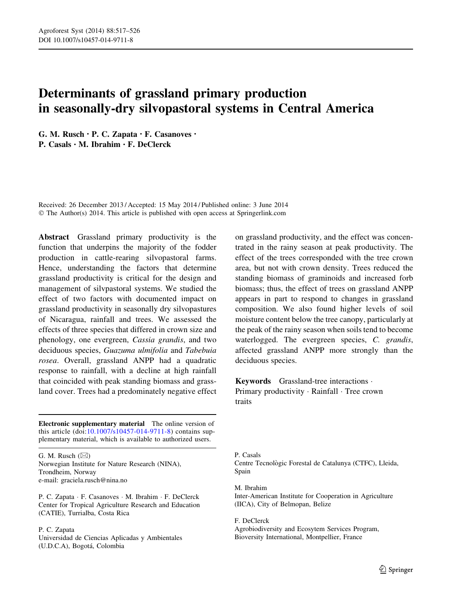# Determinants of grassland primary production in seasonally-dry silvopastoral systems in Central America

G. M. Rusch • P. C. Zapata • F. Casanoves • P. Casals • M. Ibrahim • F. DeClerck

Received: 26 December 2013 / Accepted: 15 May 2014 / Published online: 3 June 2014 © The Author(s) 2014. This article is published with open access at Springerlink.com

Abstract Grassland primary productivity is the function that underpins the majority of the fodder production in cattle-rearing silvopastoral farms. Hence, understanding the factors that determine grassland productivity is critical for the design and management of silvpastoral systems. We studied the effect of two factors with documented impact on grassland productivity in seasonally dry silvopastures of Nicaragua, rainfall and trees. We assessed the effects of three species that differed in crown size and phenology, one evergreen, Cassia grandis, and two deciduous species, Guazuma ulmifolia and Tabebuia rosea. Overall, grassland ANPP had a quadratic response to rainfall, with a decline at high rainfall that coincided with peak standing biomass and grassland cover. Trees had a predominately negative effect

Electronic supplementary material The online version of this article (doi[:10.1007/s10457-014-9711-8\)](http://dx.doi.org/10.1007/s10457-014-9711-8) contains supplementary material, which is available to authorized users.

G. M. Rusch  $(\boxtimes)$ Norwegian Institute for Nature Research (NINA), Trondheim, Norway e-mail: graciela.rusch@nina.no

P. C. Zapata · F. Casanoves · M. Ibrahim · F. DeClerck Center for Tropical Agriculture Research and Education (CATIE), Turrialba, Costa Rica

### P. C. Zapata

Universidad de Ciencias Aplicadas y Ambientales (U.D.C.A), Bogota´, Colombia

on grassland productivity, and the effect was concentrated in the rainy season at peak productivity. The effect of the trees corresponded with the tree crown area, but not with crown density. Trees reduced the standing biomass of graminoids and increased forb biomass; thus, the effect of trees on grassland ANPP appears in part to respond to changes in grassland composition. We also found higher levels of soil moisture content below the tree canopy, particularly at the peak of the rainy season when soils tend to become waterlogged. The evergreen species, C. grandis, affected grassland ANPP more strongly than the deciduous species.

Keywords Grassland-tree interactions -Primary productivity · Rainfall · Tree crown traits

P. Casals Centre Tecnològic Forestal de Catalunya (CTFC), Lleida, Spain

M. Ibrahim Inter-American Institute for Cooperation in Agriculture (IICA), City of Belmopan, Belize

F. DeClerck Agrobiodiversity and Ecosytem Services Program, Bioversity International, Montpellier, France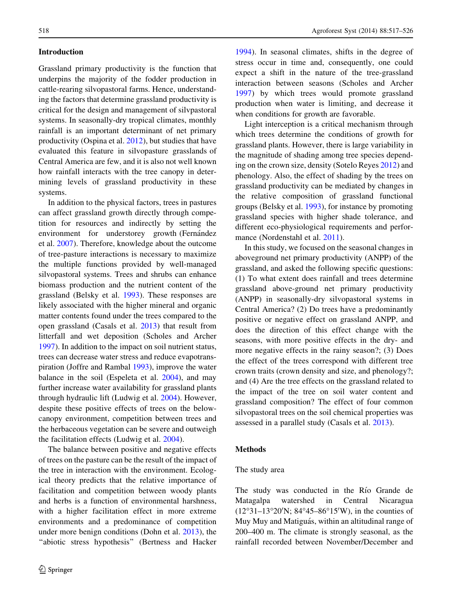## Introduction

Grassland primary productivity is the function that underpins the majority of the fodder production in cattle-rearing silvopastoral farms. Hence, understanding the factors that determine grassland productivity is critical for the design and management of silvpastoral systems. In seasonally-dry tropical climates, monthly rainfall is an important determinant of net primary productivity (Ospina et al. [2012](#page-9-0)), but studies that have evaluated this feature in silvopasture grasslands of Central America are few, and it is also not well known how rainfall interacts with the tree canopy in determining levels of grassland productivity in these systems.

In addition to the physical factors, trees in pastures can affect grassland growth directly through competition for resources and indirectly by setting the environment for understorey growth (Fernández et al. [2007\)](#page-8-0). Therefore, knowledge about the outcome of tree-pasture interactions is necessary to maximize the multiple functions provided by well-managed silvopastoral systems. Trees and shrubs can enhance biomass production and the nutrient content of the grassland (Belsky et al. [1993](#page-8-0)). These responses are likely associated with the higher mineral and organic matter contents found under the trees compared to the open grassland (Casals et al. [2013](#page-8-0)) that result from litterfall and wet deposition (Scholes and Archer [1997\)](#page-9-0). In addition to the impact on soil nutrient status, trees can decrease water stress and reduce evapotranspiration (Joffre and Rambal [1993\)](#page-8-0), improve the water balance in the soil (Espeleta et al. [2004](#page-8-0)), and may further increase water availability for grassland plants through hydraulic lift (Ludwig et al. [2004\)](#page-8-0). However, despite these positive effects of trees on the belowcanopy environment, competition between trees and the herbaceous vegetation can be severe and outweigh the facilitation effects (Ludwig et al. [2004](#page-8-0)).

The balance between positive and negative effects of trees on the pasture can be the result of the impact of the tree in interaction with the environment. Ecological theory predicts that the relative importance of facilitation and competition between woody plants and herbs is a function of environmental harshness, with a higher facilitation effect in more extreme environments and a predominance of competition under more benign conditions (Dohn et al. [2013](#page-8-0)), the ''abiotic stress hypothesis'' (Bertness and Hacker

[1994\)](#page-8-0). In seasonal climates, shifts in the degree of stress occur in time and, consequently, one could expect a shift in the nature of the tree-grassland interaction between seasons (Scholes and Archer [1997\)](#page-9-0) by which trees would promote grassland production when water is limiting, and decrease it when conditions for growth are favorable.

Light interception is a critical mechanism through which trees determine the conditions of growth for grassland plants. However, there is large variability in the magnitude of shading among tree species depending on the crown size, density (Sotelo Reyes [2012\)](#page-9-0) and phenology. Also, the effect of shading by the trees on grassland productivity can be mediated by changes in the relative composition of grassland functional groups (Belsky et al. [1993](#page-8-0)), for instance by promoting grassland species with higher shade tolerance, and different eco-physiological requirements and performance (Nordenstahl et al. [2011](#page-8-0)).

In this study, we focused on the seasonal changes in aboveground net primary productivity (ANPP) of the grassland, and asked the following specific questions: (1) To what extent does rainfall and trees determine grassland above-ground net primary productivity (ANPP) in seasonally-dry silvopastoral systems in Central America? (2) Do trees have a predominantly positive or negative effect on grassland ANPP, and does the direction of this effect change with the seasons, with more positive effects in the dry- and more negative effects in the rainy season?; (3) Does the effect of the trees correspond with different tree crown traits (crown density and size, and phenology?; and (4) Are the tree effects on the grassland related to the impact of the tree on soil water content and grassland composition? The effect of four common silvopastoral trees on the soil chemical properties was assessed in a parallel study (Casals et al. [2013](#page-8-0)).

### Methods

### The study area

The study was conducted in the Rio Grande de Matagalpa watershed in Central Nicaragua  $(12^{\circ}31 - 13^{\circ}20'N; 84^{\circ}45 - 86^{\circ}15'W)$ , in the counties of Muy Muy and Matiguás, within an altitudinal range of 200–400 m. The climate is strongly seasonal, as the rainfall recorded between November/December and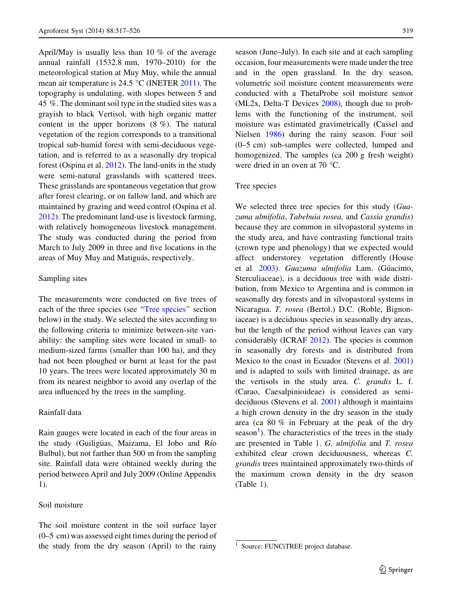April/May is usually less than 10 % of the average annual rainfall (1532.8 mm, 1970–2010) for the meteorological station at Muy Muy, while the annual mean air temperature is 24.5  $\degree$ C (INETER [2011](#page-8-0)). The topography is undulating, with slopes between 5 and 45 %. The dominant soil type in the studied sites was a grayish to black Vertisol, with high organic matter content in the upper horizons (8 %). The natural vegetation of the region corresponds to a transitional tropical sub-humid forest with semi-deciduous vegetation, and is referred to as a seasonally dry tropical forest (Ospina et al. [2012](#page-9-0)). The land-units in the study were semi-natural grasslands with scattered trees. These grasslands are spontaneous vegetation that grow after forest clearing, or on fallow land, and which are maintained by grazing and weed control (Ospina et al. [2012\)](#page-9-0). The predominant land-use is livestock farming, with relatively homogeneous livestock management. The study was conducted during the period from March to July 2009 in three and five locations in the areas of Muy Muy and Matiguás, respectively.

### Sampling sites

The measurements were conducted on five trees of each of the three species (see "Tree species" section below) in the study. We selected the sites according to the following criteria to minimize between-site variability: the sampling sites were located in small- to medium-sized farms (smaller than 100 ha), and they had not been ploughed or burnt at least for the past 10 years. The trees were located approximately 30 m from its nearest neighbor to avoid any overlap of the area influenced by the trees in the sampling.

### Rainfall data

Rain gauges were located in each of the four areas in the study (Guiligüas, Maizama, El Jobo and Río Bulbul), but not farther than 500 m from the sampling site. Rainfall data were obtained weekly during the period between April and July 2009 (Online Appendix 1).

## Soil moisture

The soil moisture content in the soil surface layer (0–5 cm) was assessed eight times during the period of the study from the dry season (April) to the rainy season (June–July). In each site and at each sampling occasion, four measurements were made under the tree and in the open grassland. In the dry season, volumetric soil moisture content measurements were conducted with a ThetaProbe soil moisture sensor (ML2x, Delta-T Devices [2008](#page-8-0)), though due to problems with the functioning of the instrument, soil moisture was estimated gravimetrically (Cassel and Nielsen [1986](#page-8-0)) during the rainy season. Four soil (0–5 cm) sub-samples were collected, lumped and homogenized. The samples (ca 200 g fresh weight) were dried in an oven at 70 °C.

### Tree species

We selected three tree species for this study (Guazuma ulmifolia, Tabebuia rosea, and Cassia grandis) because they are common in silvopastoral systems in the study area, and have contrasting functional traits (crown type and phenology) that we expected would affect understorey vegetation differently (House et al. [2003\)](#page-8-0). Guazuma ulmifolia Lam. (Gúacimo, Sterculiaceae), is a deciduous tree with wide distribution, from Mexico to Argentina and is common in seasonally dry forests and in silvopastoral systems in Nicaragua. T. rosea (Bertol.) D.C. (Roble, Bignoniaceae) is a deciduous species in seasonally dry areas, but the length of the period without leaves can vary considerably (ICRAF [2012](#page-8-0)). The species is common in seasonally dry forests and is distributed from Mexico to the coast in Ecuador (Stevens et al. [2001\)](#page-9-0) and is adapted to soils with limited drainage, as are the vertisols in the study area. C. grandis L. f. (Carao, Caesalpinioideae) is considered as semideciduous (Stevens et al. [2001\)](#page-9-0) although it maintains a high crown density in the dry season in the study area (ca 80 % in February at the peak of the dry  $s$ eason<sup>1</sup>). The characteristics of the trees in the study are presented in Table [1.](#page-3-0) G. ulmifolia and T. rosea exhibited clear crown deciduousness, whereas C. grandis trees maintained approximately two-thirds of the maximum crown density in the dry season (Table [1](#page-3-0)).

<sup>&</sup>lt;sup>1</sup> Source: FUNCiTREE project database.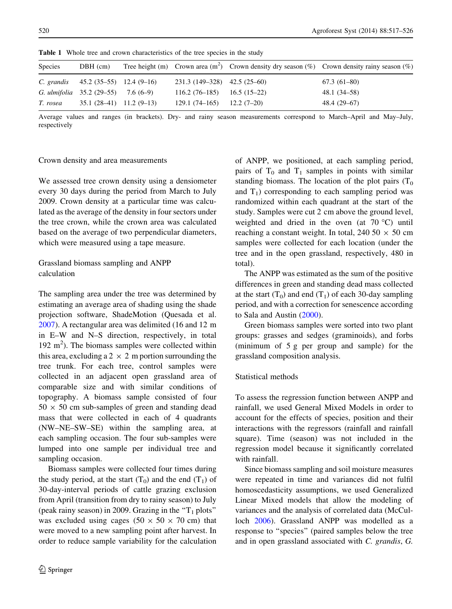| <b>Species</b> | $DBH$ (cm)                            |                               | Tree height (m) Crown area $(m^2)$ Crown density dry season (%) Crown density rainy season (%) |
|----------------|---------------------------------------|-------------------------------|------------------------------------------------------------------------------------------------|
|                | C. grandis $45.2 (35-55)$ 12.4 (9-16) | 231.3 (149–328) 42.5 (25–60)  | $67.3(61-80)$                                                                                  |
|                | G. ulmifolia $35.2(29-55)$ 7.6 (6-9)  | $116.2(76-185)$ $16.5(15-22)$ | 48.1 (34–58)                                                                                   |
| T. rosea       | $35.1(28-41)$ 11.2 (9-13)             | $129.1(74-165)$ $12.2(7-20)$  | 48.4 (29–67)                                                                                   |

<span id="page-3-0"></span>Table 1 Whole tree and crown characteristics of the tree species in the study

Average values and ranges (in brackets). Dry- and rainy season measurements correspond to March–April and May–July, respectively

### Crown density and area measurements

We assessed tree crown density using a densiometer every 30 days during the period from March to July 2009. Crown density at a particular time was calculated as the average of the density in four sectors under the tree crown, while the crown area was calculated based on the average of two perpendicular diameters, which were measured using a tape measure.

# Grassland biomass sampling and ANPP calculation

The sampling area under the tree was determined by estimating an average area of shading using the shade projection software, ShadeMotion (Quesada et al. [2007\)](#page-9-0). A rectangular area was delimited (16 and 12 m in E–W and N–S direction, respectively, in total 192  $m<sup>2</sup>$ ). The biomass samples were collected within this area, excluding a  $2 \times 2$  m portion surrounding the tree trunk. For each tree, control samples were collected in an adjacent open grassland area of comparable size and with similar conditions of topography. A biomass sample consisted of four  $50 \times 50$  cm sub-samples of green and standing dead mass that were collected in each of 4 quadrants (NW–NE–SW–SE) within the sampling area, at each sampling occasion. The four sub-samples were lumped into one sample per individual tree and sampling occasion.

Biomass samples were collected four times during the study period, at the start  $(T_0)$  and the end  $(T_1)$  of 30-day-interval periods of cattle grazing exclusion from April (transition from dry to rainy season) to July (peak rainy season) in 2009. Grazing in the " $T_1$  plots" was excluded using cages (50  $\times$  50  $\times$  70 cm) that were moved to a new sampling point after harvest. In order to reduce sample variability for the calculation of ANPP, we positioned, at each sampling period, pairs of  $T_0$  and  $T_1$  samples in points with similar standing biomass. The location of the plot pairs  $(T_0)$ and  $T_1$ ) corresponding to each sampling period was randomized within each quadrant at the start of the study. Samples were cut 2 cm above the ground level, weighted and dried in the oven (at  $70^{\circ}$ C) until reaching a constant weight. In total, 240 50  $\times$  50 cm samples were collected for each location (under the tree and in the open grassland, respectively, 480 in total).

The ANPP was estimated as the sum of the positive differences in green and standing dead mass collected at the start  $(T_0)$  and end  $(T_1)$  of each 30-day sampling period, and with a correction for senescence according to Sala and Austin [\(2000](#page-9-0)).

Green biomass samples were sorted into two plant groups: grasses and sedges (graminoids), and forbs (minimum of 5 g per group and sample) for the grassland composition analysis.

### Statistical methods

To assess the regression function between ANPP and rainfall, we used General Mixed Models in order to account for the effects of species, position and their interactions with the regressors (rainfall and rainfall square). Time (season) was not included in the regression model because it significantly correlated with rainfall.

Since biomass sampling and soil moisture measures were repeated in time and variances did not fulfil homoscedasticity assumptions, we used Generalized Linear Mixed models that allow the modeling of variances and the analysis of correlated data (McCulloch [2006](#page-8-0)). Grassland ANPP was modelled as a response to ''species'' (paired samples below the tree and in open grassland associated with C. grandis, G.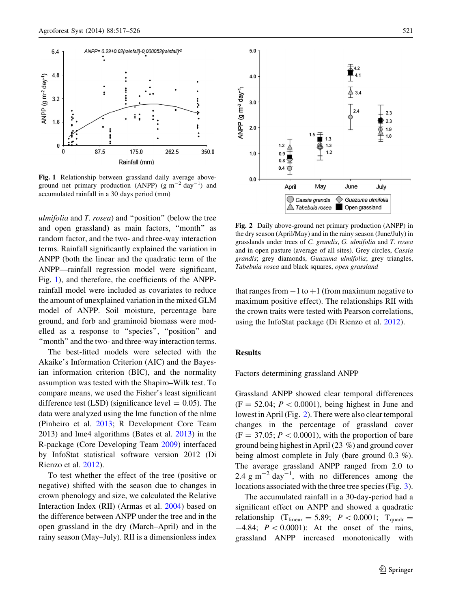<span id="page-4-0"></span>

Fig. 1 Relationship between grassland daily average aboveground net primary production (ANPP)  $(g m^{-2} day^{-1})$  and accumulated rainfall in a 30 days period (mm)

ulmifolia and T. rosea) and ''position'' (below the tree and open grassland) as main factors, ''month'' as random factor, and the two- and three-way interaction terms. Rainfall significantly explained the variation in ANPP (both the linear and the quadratic term of the ANPP—rainfall regression model were significant, Fig. 1), and therefore, the coefficients of the ANPPrainfall model were included as covariates to reduce the amount of unexplained variation in the mixed GLM model of ANPP. Soil moisture, percentage bare ground, and forb and graminoid biomass were modelled as a response to ''species'', ''position'' and ''month'' and the two- and three-way interaction terms.

The best-fitted models were selected with the Akaike's Information Criterion (AIC) and the Bayesian information criterion (BIC), and the normality assumption was tested with the Shapiro–Wilk test. To compare means, we used the Fisher's least significant difference test (LSD) (significance level  $= 0.05$ ). The data were analyzed using the lme function of the nlme (Pinheiro et al. [2013](#page-9-0); R Development Core Team 2013) and lme4 algorithms (Bates et al. [2013](#page-8-0)) in the R-package (Core Developing Team [2009](#page-8-0)) interfaced by InfoStat statistical software version 2012 (Di Rienzo et al. [2012\)](#page-8-0).

To test whether the effect of the tree (positive or negative) shifted with the season due to changes in crown phenology and size, we calculated the Relative Interaction Index (RII) (Armas et al. [2004\)](#page-8-0) based on the difference between ANPP under the tree and in the open grassland in the dry (March–April) and in the rainy season (May–July). RII is a dimensionless index



Fig. 2 Daily above-ground net primary production (ANPP) in the dry season (April/May) and in the rainy season (June/July) in grasslands under trees of C. grandis, G. ulmifolia and T. rosea and in open pasture (average of all sites). Grey circles, Cassia grandis; grey diamonds, Guazuma ulmifolia; grey triangles, Tabebuia rosea and black squares, open grassland

that ranges from  $-1$  to  $+1$  (from maximum negative to maximum positive effect). The relationships RII with the crown traits were tested with Pearson correlations, using the InfoStat package (Di Rienzo et al. [2012\)](#page-8-0).

### Results

Factors determining grassland ANPP

Grassland ANPP showed clear temporal differences  $(F = 52.04; P < 0.0001)$ , being highest in June and lowest in April (Fig. 2). There were also clear temporal changes in the percentage of grassland cover  $(F = 37.05; P < 0.0001)$ , with the proportion of bare ground being highest in April (23 %) and ground cover being almost complete in July (bare ground 0.3 %). The average grassland ANPP ranged from 2.0 to 2.4 g m<sup> $-2$ </sup> day<sup> $-1$ </sup>, with no differences among the locations associated with the three tree species (Fig. [3](#page-5-0)).

The accumulated rainfall in a 30-day-period had a significant effect on ANPP and showed a quadratic relationship (T<sub>linear</sub> = 5.89;  $P < 0.0001$ ; T<sub>quadr</sub> =  $-4.84$ ;  $P < 0.0001$ ): At the onset of the rains, grassland ANPP increased monotonically with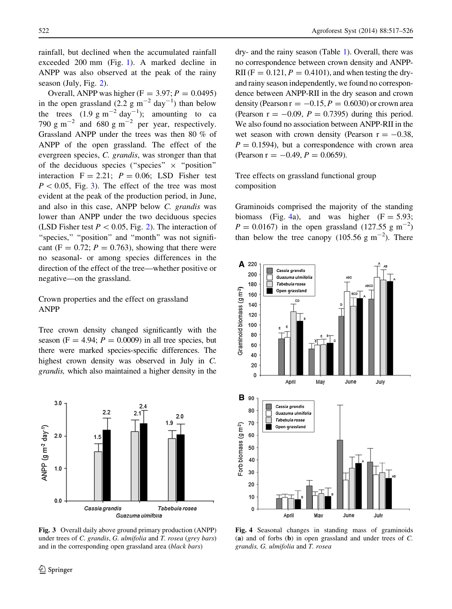<span id="page-5-0"></span>rainfall, but declined when the accumulated rainfall exceeded 200 mm (Fig. [1\)](#page-4-0). A marked decline in ANPP was also observed at the peak of the rainy season (July, Fig. [2\)](#page-4-0).

Overall, ANPP was higher ( $F = 3.97$ ;  $P = 0.0495$ ) in the open grassland  $(2.2 \text{ g m}^{-2} \text{ day}^{-1})$  than below the trees  $(1.9 \text{ g m}^{-2} \text{ day}^{-1})$ ; amounting to ca 790 g m<sup> $-2$ </sup> and 680 g m<sup> $-2$ </sup> per year, respectively. Grassland ANPP under the trees was then 80 % of ANPP of the open grassland. The effect of the evergreen species, C. grandis, was stronger than that of the deciduous species ("species"  $\times$  "position" interaction  $F = 2.21$ ;  $P = 0.06$ ; LSD Fisher test  $P < 0.05$ , Fig. 3). The effect of the tree was most evident at the peak of the production period, in June, and also in this case, ANPP below C. grandis was lower than ANPP under the two deciduous species (LSD Fisher test  $P < 0.05$ , Fig. [2\)](#page-4-0). The interaction of "species," "position" and "month" was not significant (F = 0.72;  $P = 0.763$ ), showing that there were no seasonal- or among species differences in the direction of the effect of the tree—whether positive or negative—on the grassland.

# Crown properties and the effect on grassland ANPP

Tree crown density changed significantly with the season (F = 4.94;  $P = 0.0009$ ) in all tree species, but there were marked species-specific differences. The highest crown density was observed in July in C. grandis, which also maintained a higher density in the



Fig. 3 Overall daily above ground primary production (ANPP) under trees of C. grandis, G. ulmifolia and T. rosea (grey bars) and in the corresponding open grassland area (black bars)

dry- and the rainy season (Table [1](#page-3-0)). Overall, there was no correspondence between crown density and ANPP-RII (F =  $0.121$ , P =  $0.4101$ ), and when testing the dryand rainy season independently, we found no correspondence between ANPP-RII in the dry season and crown density (Pearson  $r = -0.15$ ,  $P = 0.6030$ ) or crown area (Pearson  $r = -0.09$ ,  $P = 0.7395$ ) during this period. We also found no association between ANPP-RII in the wet season with crown density (Pearson  $r = -0.38$ ,  $P = 0.1594$ , but a correspondence with crown area (Pearson  $r = -0.49$ ,  $P = 0.0659$ ).

Tree effects on grassland functional group composition

Graminoids comprised the majority of the standing biomass (Fig. 4a), and was higher  $(F = 5.93;$  $P = 0.0167$ ) in the open grassland (127.55 g m<sup>-2</sup>) than below the tree canopy (105.56  $\text{g m}^{-2}$ ). There



Fig. 4 Seasonal changes in standing mass of graminoids (a) and of forbs (b) in open grassland and under trees of C. grandis, G. ulmifolia and T. rosea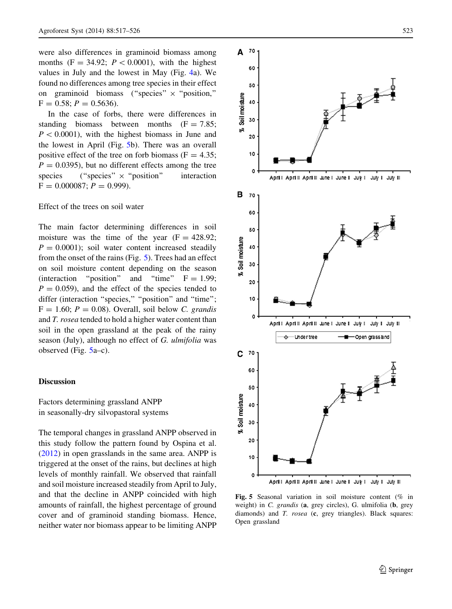were also differences in graminoid biomass among months  $(F = 34.92; P < 0.0001)$ , with the highest values in July and the lowest in May (Fig. [4](#page-5-0)a). We found no differences among tree species in their effect on graminoid biomass ("species"  $\times$  "position,"  $F = 0.58$ ;  $P = 0.5636$ ).

In the case of forbs, there were differences in standing biomass between months  $(F = 7.85)$ ;  $P<0.0001$ , with the highest biomass in June and the lowest in April (Fig. 5b). There was an overall positive effect of the tree on forb biomass ( $F = 4.35$ ;  $P = 0.0395$ , but no different effects among the tree species ("species"  $\times$  "position" interaction  $F = 0.000087$ ;  $P = 0.999$ ).

# Effect of the trees on soil water

The main factor determining differences in soil moisture was the time of the year  $(F = 428.92)$ ;  $P = 0.0001$ ; soil water content increased steadily from the onset of the rains (Fig. 5). Trees had an effect on soil moisture content depending on the season (interaction "position" and "time"  $F = 1.99$ ;  $P = 0.059$ , and the effect of the species tended to differ (interaction "species," "position" and "time";  $F = 1.60$ ;  $P = 0.08$ ). Overall, soil below C. grandis and T. rosea tended to hold a higher water content than soil in the open grassland at the peak of the rainy season (July), although no effect of G. ulmifolia was observed (Fig.  $5a-c$ ).

#### Discussion

Factors determining grassland ANPP in seasonally-dry silvopastoral systems

The temporal changes in grassland ANPP observed in this study follow the pattern found by Ospina et al. [\(2012](#page-9-0)) in open grasslands in the same area. ANPP is triggered at the onset of the rains, but declines at high levels of monthly rainfall. We observed that rainfall and soil moisture increased steadily from April to July, and that the decline in ANPP coincided with high amounts of rainfall, the highest percentage of ground cover and of graminoid standing biomass. Hence, neither water nor biomass appear to be limiting ANPP



Fig. 5 Seasonal variation in soil moisture content (% in weight) in C. grandis (a, grey circles), G. ulmifolia (b, grey diamonds) and *T. rosea* (c, grey triangles). Black squares: Open grassland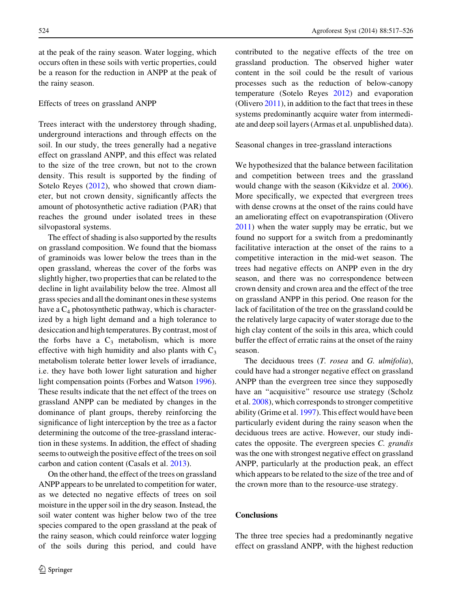at the peak of the rainy season. Water logging, which occurs often in these soils with vertic properties, could be a reason for the reduction in ANPP at the peak of the rainy season.

### Effects of trees on grassland ANPP

Trees interact with the understorey through shading, underground interactions and through effects on the soil. In our study, the trees generally had a negative effect on grassland ANPP, and this effect was related to the size of the tree crown, but not to the crown density. This result is supported by the finding of Sotelo Reyes [\(2012](#page-9-0)), who showed that crown diameter, but not crown density, significantly affects the amount of photosynthetic active radiation (PAR) that reaches the ground under isolated trees in these silvopastoral systems.

The effect of shading is also supported by the results on grassland composition. We found that the biomass of graminoids was lower below the trees than in the open grassland, whereas the cover of the forbs was slightly higher, two properties that can be related to the decline in light availability below the tree. Almost all grass species and all the dominant ones in these systems have a  $C_4$  photosynthetic pathway, which is characterized by a high light demand and a high tolerance to desiccation and high temperatures. By contrast, most of the forbs have a  $C_3$  metabolism, which is more effective with high humidity and also plants with  $C_3$ metabolism tolerate better lower levels of irradiance, i.e. they have both lower light saturation and higher light compensation points (Forbes and Watson [1996](#page-8-0)). These results indicate that the net effect of the trees on grassland ANPP can be mediated by changes in the dominance of plant groups, thereby reinforcing the significance of light interception by the tree as a factor determining the outcome of the tree-grassland interaction in these systems. In addition, the effect of shading seems to outweigh the positive effect of the trees on soil carbon and cation content (Casals et al. [2013](#page-8-0)).

On the other hand, the effect of the trees on grassland ANPP appears to be unrelated to competition for water, as we detected no negative effects of trees on soil moisture in the upper soil in the dry season. Instead, the soil water content was higher below two of the tree species compared to the open grassland at the peak of the rainy season, which could reinforce water logging of the soils during this period, and could have

contributed to the negative effects of the tree on grassland production. The observed higher water content in the soil could be the result of various processes such as the reduction of below-canopy temperature (Sotelo Reyes [2012](#page-9-0)) and evaporation (Olivero [2011](#page-9-0)), in addition to the fact that trees in these systems predominantly acquire water from intermediate and deep soil layers (Armas et al. unpublished data).

#### Seasonal changes in tree-grassland interactions

We hypothesized that the balance between facilitation and competition between trees and the grassland would change with the season (Kikvidze et al. [2006](#page-8-0)). More specifically, we expected that evergreen trees with dense crowns at the onset of the rains could have an ameliorating effect on evapotranspiration (Olivero [2011\)](#page-9-0) when the water supply may be erratic, but we found no support for a switch from a predominantly facilitative interaction at the onset of the rains to a competitive interaction in the mid-wet season. The trees had negative effects on ANPP even in the dry season, and there was no correspondence between crown density and crown area and the effect of the tree on grassland ANPP in this period. One reason for the lack of facilitation of the tree on the grassland could be the relatively large capacity of water storage due to the high clay content of the soils in this area, which could buffer the effect of erratic rains at the onset of the rainy season.

The deciduous trees (*T. rosea* and *G. ulmifolia*), could have had a stronger negative effect on grassland ANPP than the evergreen tree since they supposedly have an "acquisitive" resource use strategy (Scholz et al. [2008](#page-9-0)), which corresponds to stronger competitive ability (Grime et al. [1997\)](#page-8-0). This effect would have been particularly evident during the rainy season when the deciduous trees are active. However, our study indicates the opposite. The evergreen species C. grandis was the one with strongest negative effect on grassland ANPP, particularly at the production peak, an effect which appears to be related to the size of the tree and of the crown more than to the resource-use strategy.

### **Conclusions**

The three tree species had a predominantly negative effect on grassland ANPP, with the highest reduction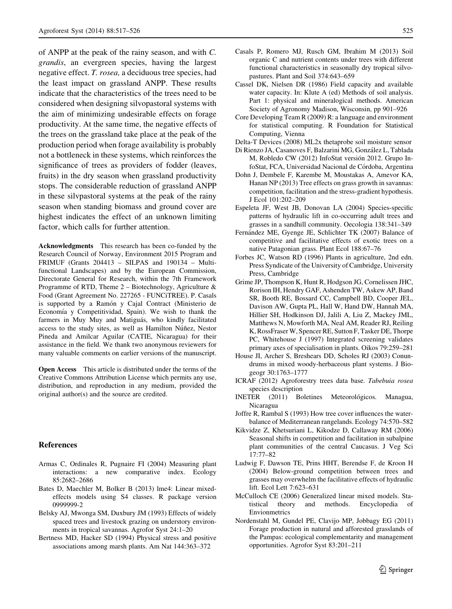<span id="page-8-0"></span>of ANPP at the peak of the rainy season, and with C. grandis, an evergreen species, having the largest negative effect. T. rosea, a deciduous tree species, had the least impact on grassland ANPP. These results indicate that the characteristics of the trees need to be considered when designing silvopastoral systems with the aim of minimizing undesirable effects on forage productivity. At the same time, the negative effects of the trees on the grassland take place at the peak of the production period when forage availability is probably not a bottleneck in these systems, which reinforces the significance of trees as providers of fodder (leaves, fruits) in the dry season when grassland productivity stops. The considerable reduction of grassland ANPP in these silvpastoral systems at the peak of the rainy season when standing biomass and ground cover are highest indicates the effect of an unknown limiting factor, which calls for further attention.

Acknowledgments This research has been co-funded by the Research Council of Norway, Environment 2015 Program and FRIMUF (Grants 204413 – SILPAS and 190134 – Multifunctional Landscapes) and by the European Commission, Directorate General for Research, within the 7th Framework Programme of RTD, Theme 2 – Biotechnology, Agriculture & Food (Grant Agreement No. 227265 - FUNCiTREE). P. Casals is supported by a Ramón y Cajal Contract (Ministerio de Economía y Competitividad, Spain). We wish to thank the farmers in Muy Muy and Matiguás, who kindly facilitated access to the study sites, as well as Hamilton Núñez, Nestor Pineda and Amilcar Aguilar (CATIE, Nicaragua) for their assistance in the field. We thank two anonymous reviewers for many valuable comments on earlier versions of the manuscript.

Open Access This article is distributed under the terms of the Creative Commons Attribution License which permits any use, distribution, and reproduction in any medium, provided the original author(s) and the source are credited.

#### References

- Armas C, Ordinales R, Pugnaire FI (2004) Measuring plant interactions: a new comparative index. Ecology 85:2682–2686
- Bates D, Maechler M, Bolker B (2013) lme4: Linear mixedeffects models using S4 classes. R package version 0999999-2
- Belsky AJ, Mwonga SM, Duxbury JM (1993) Effects of widely spaced trees and livestock grazing on understory environments in tropical savannas. Agrofor Syst 24:1–20
- Bertness MD, Hacker SD (1994) Physical stress and positive associations among marsh plants. Am Nat 144:363–372
- Casals P, Romero MJ, Rusch GM, Ibrahim M (2013) Soil organic C and nutrient contents under trees with different functional characteristics in seasonally dry tropical silvopastures. Plant and Soil 374:643–659
- Cassel DK, Nielsen DR (1986) Field capacity and available water capacity. In: Klute A (ed) Methods of soil analysis. Part 1: physical and mineralogical methods. American Society of Agronomy Madison, Wisconsin, pp 901–926
- Core Developing Team R (2009) R: a language and environment for statistical computing. R Foundation for Statistical Computing, Vienna
- Delta-T Devices (2008) ML2x thetaprobe soil moisture sensor
- Di Rienzo JA, Casanoves F, Balzarini MG, González L, Tablada M, Robledo CW (2012) InfoStat versión 2012. Grupo InfoStat, FCA, Universidad Nacional de Córdoba, Argentina
- Dohn J, Dembele F, Karembe M, Moustakas A, Amevor KA, Hanan NP (2013) Tree effects on grass growth in savannas: competition, facilitation and the stress-gradient hypothesis. J Ecol 101:202–209
- Espeleta JF, West JB, Donovan LA (2004) Species-specific patterns of hydraulic lift in co-occurring adult trees and grasses in a sandhill community. Oecologia 138:341–349
- Fernández ME, Gyenge JE, Schlichter TK (2007) Balance of competitive and facilitative effects of exotic trees on a native Patagonian grass. Plant Ecol 188:67–76
- Forbes JC, Watson RD (1996) Plants in agriculture, 2nd edn. Press Syndicate of the University of Cambridge, University Press, Cambridge
- Grime JP, Thompson K, Hunt R, Hodgson JG, Cornelissen JHC, Rorison IH, Hendry GAF, Ashenden TW, Askew AP, Band SR, Booth RE, Bossard CC, Campbell BD, Cooper JEL, Davison AW, Gupta PL, Hall W, Hand DW, Hannah MA, Hillier SH, Hodkinson DJ, Jalili A, Liu Z, Mackey JML, Matthews N, Mowforth MA, Neal AM, Reader RJ, Reiling K, RossFraser W, Spencer RE, Sutton F, Tasker DE, Thorpe PC, Whitehouse J (1997) Integrated screening validates primary axes of specialisation in plants. Oikos 79:259–281
- House JI, Archer S, Breshears DD, Scholes RJ (2003) Conundrums in mixed woody-herbaceous plant systems. J Biogeogr 30:1763–1777
- ICRAF (2012) Agroforestry trees data base. Tabebuia rosea species description
- INETER (2011) Boletines Meteorológicos. Managua, Nicaragua
- Joffre R, Rambal S (1993) How tree cover influences the waterbalance of Mediterranean rangelands. Ecology 74:570–582
- Kikvidze Z, Khetsuriani L, Kikodze D, Callaway RM (2006) Seasonal shifts in competition and facilitation in subalpine plant communities of the central Caucasus. J Veg Sci 17:77–82
- Ludwig F, Dawson TE, Prins HHT, Berendse F, de Kroon H (2004) Below-ground competition between trees and grasses may overwhelm the facilitative effects of hydraulic lift. Ecol Lett 7:623–631
- McCulloch CE (2006) Generalized linear mixed models. Statistical theory and methods. Encyclopedia of Envionmetrics
- Nordenstahl M, Gundel PE, Clavijo MP, Jobbagy EG (2011) Forage production in natural and afforested grasslands of the Pampas: ecological complementarity and management opportunities. Agrofor Syst 83:201–211